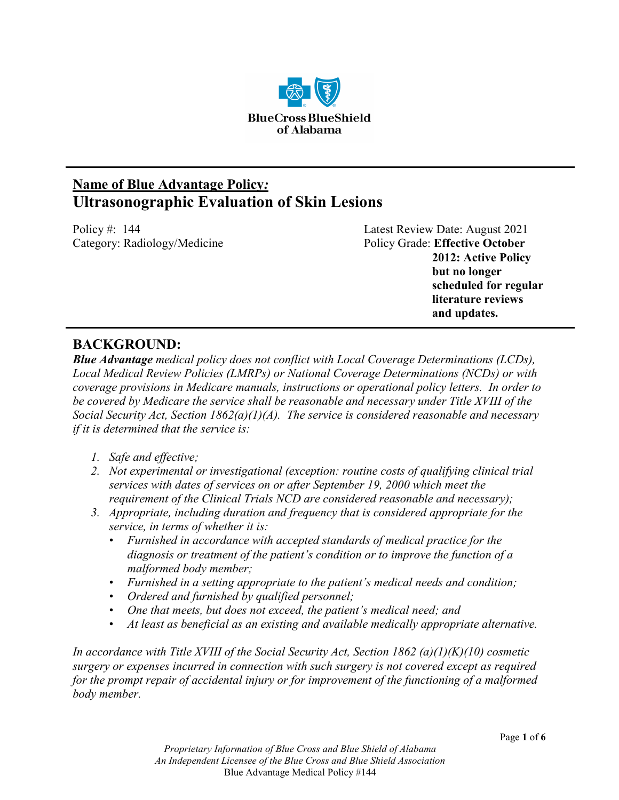

# **Name of Blue Advantage Policy***:* **Ultrasonographic Evaluation of Skin Lesions**

Policy #: 144 Latest Review Date: August 2021 Category: Radiology/Medicine **Policy Grade: Effective October Policy Grade: Effective October 2012: Active Policy but no longer scheduled for regular literature reviews and updates.**

## **BACKGROUND:**

*Blue Advantage medical policy does not conflict with Local Coverage Determinations (LCDs), Local Medical Review Policies (LMRPs) or National Coverage Determinations (NCDs) or with coverage provisions in Medicare manuals, instructions or operational policy letters. In order to be covered by Medicare the service shall be reasonable and necessary under Title XVIII of the Social Security Act, Section 1862(a)(1)(A). The service is considered reasonable and necessary if it is determined that the service is:*

- *1. Safe and effective;*
- *2. Not experimental or investigational (exception: routine costs of qualifying clinical trial services with dates of services on or after September 19, 2000 which meet the requirement of the Clinical Trials NCD are considered reasonable and necessary);*
- *3. Appropriate, including duration and frequency that is considered appropriate for the service, in terms of whether it is:*
	- *Furnished in accordance with accepted standards of medical practice for the diagnosis or treatment of the patient's condition or to improve the function of a malformed body member;*
	- *Furnished in a setting appropriate to the patient's medical needs and condition;*
	- *Ordered and furnished by qualified personnel;*
	- *One that meets, but does not exceed, the patient's medical need; and*
	- *At least as beneficial as an existing and available medically appropriate alternative.*

*In accordance with Title XVIII of the Social Security Act, Section 1862 (a)(1)(K)(10) cosmetic surgery or expenses incurred in connection with such surgery is not covered except as required for the prompt repair of accidental injury or for improvement of the functioning of a malformed body member.*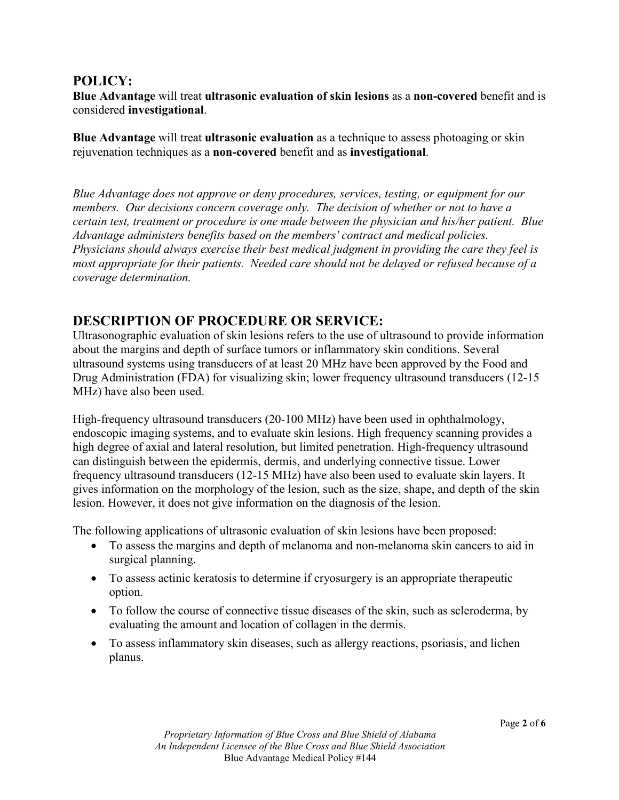## **POLICY:**

**Blue Advantage** will treat **ultrasonic evaluation of skin lesions** as a **non-covered** benefit and is considered **investigational**.

**Blue Advantage** will treat **ultrasonic evaluation** as a technique to assess photoaging or skin rejuvenation techniques as a **non-covered** benefit and as **investigational**.

*Blue Advantage does not approve or deny procedures, services, testing, or equipment for our members. Our decisions concern coverage only. The decision of whether or not to have a certain test, treatment or procedure is one made between the physician and his/her patient. Blue Advantage administers benefits based on the members' contract and medical policies. Physicians should always exercise their best medical judgment in providing the care they feel is most appropriate for their patients. Needed care should not be delayed or refused because of a coverage determination.*

# **DESCRIPTION OF PROCEDURE OR SERVICE:**

Ultrasonographic evaluation of skin lesions refers to the use of ultrasound to provide information about the margins and depth of surface tumors or inflammatory skin conditions. Several ultrasound systems using transducers of at least 20 MHz have been approved by the Food and Drug Administration (FDA) for visualizing skin; lower frequency ultrasound transducers (12-15 MHz) have also been used.

High-frequency ultrasound transducers (20-100 MHz) have been used in ophthalmology, endoscopic imaging systems, and to evaluate skin lesions. High frequency scanning provides a high degree of axial and lateral resolution, but limited penetration. High-frequency ultrasound can distinguish between the epidermis, dermis, and underlying connective tissue. Lower frequency ultrasound transducers (12-15 MHz) have also been used to evaluate skin layers. It gives information on the morphology of the lesion, such as the size, shape, and depth of the skin lesion. However, it does not give information on the diagnosis of the lesion.

The following applications of ultrasonic evaluation of skin lesions have been proposed:

- To assess the margins and depth of melanoma and non-melanoma skin cancers to aid in surgical planning.
- To assess actinic keratosis to determine if cryosurgery is an appropriate therapeutic option.
- To follow the course of connective tissue diseases of the skin, such as scleroderma, by evaluating the amount and location of collagen in the dermis.
- To assess inflammatory skin diseases, such as allergy reactions, psoriasis, and lichen planus.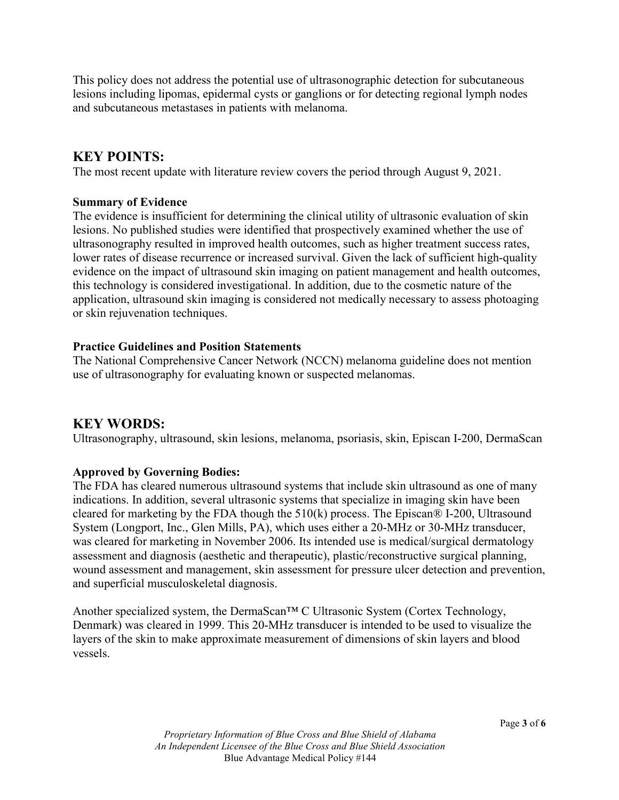This policy does not address the potential use of ultrasonographic detection for subcutaneous lesions including lipomas, epidermal cysts or ganglions or for detecting regional lymph nodes and subcutaneous metastases in patients with melanoma.

# **KEY POINTS:**

The most recent update with literature review covers the period through August 9, 2021.

#### **Summary of Evidence**

The evidence is insufficient for determining the clinical utility of ultrasonic evaluation of skin lesions. No published studies were identified that prospectively examined whether the use of ultrasonography resulted in improved health outcomes, such as higher treatment success rates, lower rates of disease recurrence or increased survival. Given the lack of sufficient high-quality evidence on the impact of ultrasound skin imaging on patient management and health outcomes, this technology is considered investigational. In addition, due to the cosmetic nature of the application, ultrasound skin imaging is considered not medically necessary to assess photoaging or skin rejuvenation techniques.

### **Practice Guidelines and Position Statements**

The National Comprehensive Cancer Network (NCCN) melanoma guideline does not mention use of ultrasonography for evaluating known or suspected melanomas.

### **KEY WORDS:**

Ultrasonography, ultrasound, skin lesions, melanoma, psoriasis, skin, Episcan I-200, DermaScan

### **Approved by Governing Bodies:**

The FDA has cleared numerous ultrasound systems that include skin ultrasound as one of many indications. In addition, several ultrasonic systems that specialize in imaging skin have been cleared for marketing by the FDA though the 510(k) process. The Episcan® I-200, Ultrasound System (Longport, Inc., Glen Mills, PA), which uses either a 20-MHz or 30-MHz transducer, was cleared for marketing in November 2006. Its intended use is medical/surgical dermatology assessment and diagnosis (aesthetic and therapeutic), plastic/reconstructive surgical planning, wound assessment and management, skin assessment for pressure ulcer detection and prevention, and superficial musculoskeletal diagnosis.

Another specialized system, the DermaScan™ C Ultrasonic System (Cortex Technology, Denmark) was cleared in 1999. This 20-MHz transducer is intended to be used to visualize the layers of the skin to make approximate measurement of dimensions of skin layers and blood vessels.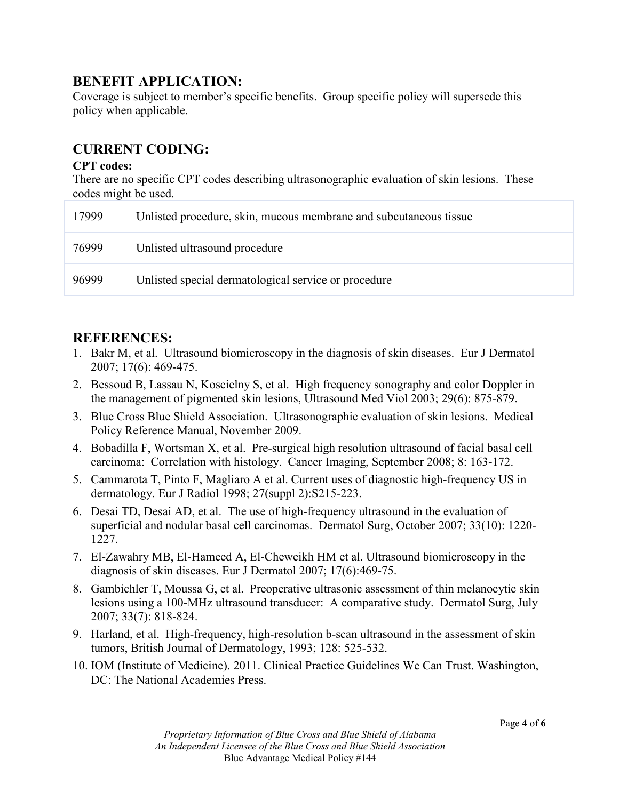## **BENEFIT APPLICATION:**

Coverage is subject to member's specific benefits. Group specific policy will supersede this policy when applicable.

# **CURRENT CODING:**

### **CPT codes:**

There are no specific CPT codes describing ultrasonographic evaluation of skin lesions. These codes might be used.

| 17999 | Unlisted procedure, skin, mucous membrane and subcutaneous tissue |
|-------|-------------------------------------------------------------------|
| 76999 | Unlisted ultrasound procedure                                     |
| 96999 | Unlisted special dermatological service or procedure              |

# **REFERENCES:**

- 1. Bakr M, et al. Ultrasound biomicroscopy in the diagnosis of skin diseases. Eur J Dermatol 2007; 17(6): 469-475.
- 2. Bessoud B, Lassau N, Koscielny S, et al. High frequency sonography and color Doppler in the management of pigmented skin lesions, Ultrasound Med Viol 2003; 29(6): 875-879.
- 3. Blue Cross Blue Shield Association. Ultrasonographic evaluation of skin lesions. Medical Policy Reference Manual, November 2009.
- 4. Bobadilla F, Wortsman X, et al. Pre-surgical high resolution ultrasound of facial basal cell carcinoma: Correlation with histology. Cancer Imaging, September 2008; 8: 163-172.
- 5. Cammarota T, Pinto F, Magliaro A et al. Current uses of diagnostic high-frequency US in dermatology. Eur J Radiol 1998; 27(suppl 2):S215-223.
- 6. Desai TD, Desai AD, et al. The use of high-frequency ultrasound in the evaluation of superficial and nodular basal cell carcinomas. Dermatol Surg, October 2007; 33(10): 1220- 1227.
- 7. El-Zawahry MB, El-Hameed A, El-Cheweikh HM et al. Ultrasound biomicroscopy in the diagnosis of skin diseases. Eur J Dermatol 2007; 17(6):469-75.
- 8. Gambichler T, Moussa G, et al. Preoperative ultrasonic assessment of thin melanocytic skin lesions using a 100-MHz ultrasound transducer: A comparative study. Dermatol Surg, July 2007; 33(7): 818-824.
- 9. Harland, et al. High-frequency, high-resolution b-scan ultrasound in the assessment of skin tumors, British Journal of Dermatology, 1993; 128: 525-532.
- 10. IOM (Institute of Medicine). 2011. Clinical Practice Guidelines We Can Trust. Washington, DC: The National Academies Press.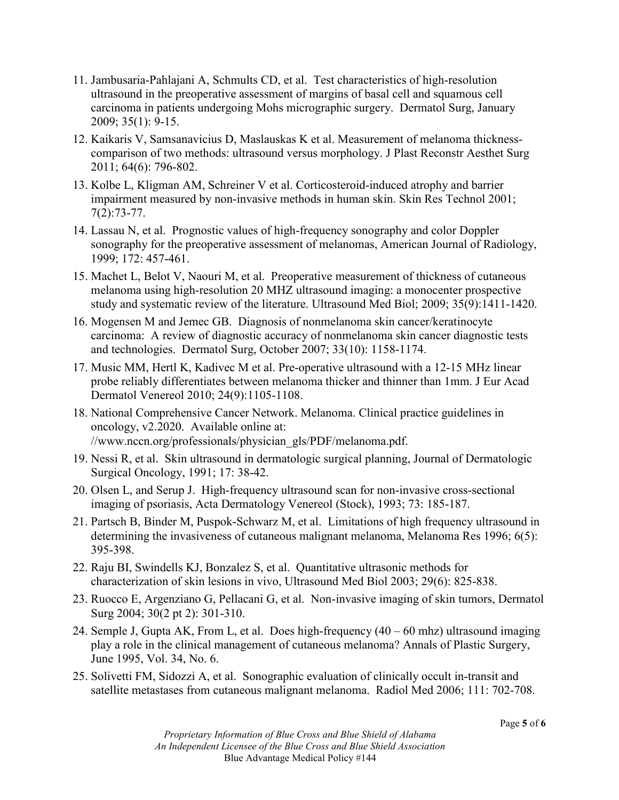- 11. Jambusaria-Pahlajani A, Schmults CD, et al. Test characteristics of high-resolution ultrasound in the preoperative assessment of margins of basal cell and squamous cell carcinoma in patients undergoing Mohs micrographic surgery. Dermatol Surg, January 2009; 35(1): 9-15.
- 12. Kaikaris V, Samsanavicius D, Maslauskas K et al. Measurement of melanoma thicknesscomparison of two methods: ultrasound versus morphology. J Plast Reconstr Aesthet Surg 2011; 64(6): 796-802.
- 13. Kolbe L, Kligman AM, Schreiner V et al. Corticosteroid-induced atrophy and barrier impairment measured by non-invasive methods in human skin. Skin Res Technol 2001; 7(2):73-77.
- 14. Lassau N, et al. Prognostic values of high-frequency sonography and color Doppler sonography for the preoperative assessment of melanomas, American Journal of Radiology, 1999; 172: 457-461.
- 15. Machet L, Belot V, Naouri M, et al. Preoperative measurement of thickness of cutaneous melanoma using high-resolution 20 MHZ ultrasound imaging: a monocenter prospective study and systematic review of the literature. Ultrasound Med Biol; 2009; 35(9):1411-1420.
- 16. Mogensen M and Jemec GB. Diagnosis of nonmelanoma skin cancer/keratinocyte carcinoma: A review of diagnostic accuracy of nonmelanoma skin cancer diagnostic tests and technologies. Dermatol Surg, October 2007; 33(10): 1158-1174.
- 17. Music MM, Hertl K, Kadivec M et al. Pre-operative ultrasound with a 12-15 MHz linear probe reliably differentiates between melanoma thicker and thinner than 1mm. J Eur Acad Dermatol Venereol 2010; 24(9):1105-1108.
- 18. National Comprehensive Cancer Network. Melanoma. Clinical practice guidelines in oncology, v2.2020. Available online at: //www.nccn.org/professionals/physician\_gls/PDF/melanoma.pdf.
- 19. Nessi R, et al. Skin ultrasound in dermatologic surgical planning, Journal of Dermatologic Surgical Oncology, 1991; 17: 38-42.
- 20. Olsen L, and Serup J. High-frequency ultrasound scan for non-invasive cross-sectional imaging of psoriasis, Acta Dermatology Venereol (Stock), 1993; 73: 185-187.
- 21. Partsch B, Binder M, Puspok-Schwarz M, et al. Limitations of high frequency ultrasound in determining the invasiveness of cutaneous malignant melanoma, Melanoma Res 1996; 6(5): 395-398.
- 22. Raju BI, Swindells KJ, Bonzalez S, et al. Quantitative ultrasonic methods for characterization of skin lesions in vivo, Ultrasound Med Biol 2003; 29(6): 825-838.
- 23. Ruocco E, Argenziano G, Pellacani G, et al. Non-invasive imaging of skin tumors, Dermatol Surg 2004; 30(2 pt 2): 301-310.
- 24. Semple J, Gupta AK, From L, et al. Does high-frequency (40 60 mhz) ultrasound imaging play a role in the clinical management of cutaneous melanoma? Annals of Plastic Surgery, June 1995, Vol. 34, No. 6.
- 25. Solivetti FM, Sidozzi A, et al. Sonographic evaluation of clinically occult in-transit and satellite metastases from cutaneous malignant melanoma. Radiol Med 2006; 111: 702-708.